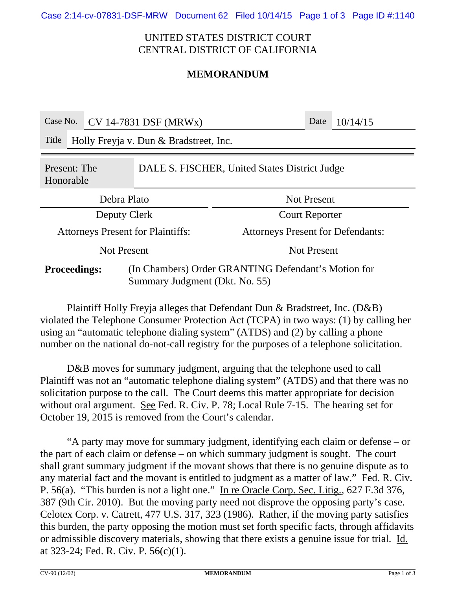Case 2:14-cv-07831-DSF-MRW Document 62 Filed 10/14/15 Page 1 of 3 Page ID #:1140

### UNITED STATES DISTRICT COURT CENTRAL DISTRICT OF CALIFORNIA

# **MEMORANDUM**

| Case No.                                                                                                     |                                        | $\overline{\text{CV}}$ 14-7831 DSF (MRWx) |                                          |                       | Date | 10/14/15 |
|--------------------------------------------------------------------------------------------------------------|----------------------------------------|-------------------------------------------|------------------------------------------|-----------------------|------|----------|
| Title                                                                                                        | Holly Freyja v. Dun & Bradstreet, Inc. |                                           |                                          |                       |      |          |
| DALE S. FISCHER, United States District Judge<br>Present: The<br>Honorable                                   |                                        |                                           |                                          |                       |      |          |
| Debra Plato                                                                                                  |                                        |                                           |                                          | <b>Not Present</b>    |      |          |
| Deputy Clerk                                                                                                 |                                        |                                           |                                          | <b>Court Reporter</b> |      |          |
| <b>Attorneys Present for Plaintiffs:</b>                                                                     |                                        |                                           | <b>Attorneys Present for Defendants:</b> |                       |      |          |
| <b>Not Present</b>                                                                                           |                                        |                                           | <b>Not Present</b>                       |                       |      |          |
| (In Chambers) Order GRANTING Defendant's Motion for<br><b>Proceedings:</b><br>Summary Judgment (Dkt. No. 55) |                                        |                                           |                                          |                       |      |          |

Plaintiff Holly Freyja alleges that Defendant Dun & Bradstreet, Inc. (D&B) violated the Telephone Consumer Protection Act (TCPA) in two ways: (1) by calling her using an "automatic telephone dialing system" (ATDS) and (2) by calling a phone number on the national do-not-call registry for the purposes of a telephone solicitation.

D&B moves for summary judgment, arguing that the telephone used to call Plaintiff was not an "automatic telephone dialing system" (ATDS) and that there was no solicitation purpose to the call. The Court deems this matter appropriate for decision without oral argument. See Fed. R. Civ. P. 78; Local Rule 7-15. The hearing set for October 19, 2015 is removed from the Court's calendar.

"A party may move for summary judgment, identifying each claim or defense – or the part of each claim or defense – on which summary judgment is sought. The court shall grant summary judgment if the movant shows that there is no genuine dispute as to any material fact and the movant is entitled to judgment as a matter of law." Fed. R. Civ. P. 56(a). "This burden is not a light one." In re Oracle Corp. Sec. Litig., 627 F.3d 376, 387 (9th Cir. 2010). But the moving party need not disprove the opposing party's case. Celotex Corp. v. Catrett, 477 U.S. 317, 323 (1986). Rather, if the moving party satisfies this burden, the party opposing the motion must set forth specific facts, through affidavits or admissible discovery materials, showing that there exists a genuine issue for trial. Id. at 323-24; Fed. R. Civ. P. 56(c)(1).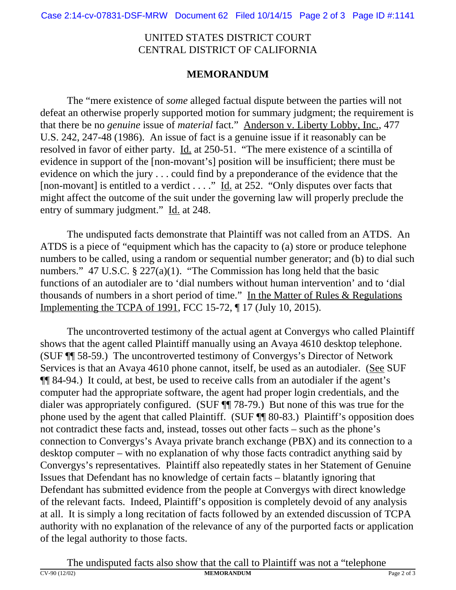### UNITED STATES DISTRICT COURT CENTRAL DISTRICT OF CALIFORNIA

# **MEMORANDUM**

The "mere existence of *some* alleged factual dispute between the parties will not defeat an otherwise properly supported motion for summary judgment; the requirement is that there be no *genuine* issue of *material* fact." Anderson v. Liberty Lobby, Inc., 477 U.S. 242, 247-48 (1986). An issue of fact is a genuine issue if it reasonably can be resolved in favor of either party. Id. at 250-51. "The mere existence of a scintilla of evidence in support of the [non-movant's] position will be insufficient; there must be evidence on which the jury . . . could find by a preponderance of the evidence that the [non-movant] is entitled to a verdict . . . ." Id. at 252. "Only disputes over facts that might affect the outcome of the suit under the governing law will properly preclude the entry of summary judgment." Id. at 248.

The undisputed facts demonstrate that Plaintiff was not called from an ATDS. An ATDS is a piece of "equipment which has the capacity to (a) store or produce telephone numbers to be called, using a random or sequential number generator; and (b) to dial such numbers." 47 U.S.C. § 227(a)(1). "The Commission has long held that the basic functions of an autodialer are to 'dial numbers without human intervention' and to 'dial thousands of numbers in a short period of time." In the Matter of Rules & Regulations Implementing the TCPA of 1991, FCC 15-72, ¶ 17 (July 10, 2015).

The uncontroverted testimony of the actual agent at Convergys who called Plaintiff shows that the agent called Plaintiff manually using an Avaya 4610 desktop telephone. (SUF ¶¶ 58-59.) The uncontroverted testimony of Convergys's Director of Network Services is that an Avaya 4610 phone cannot, itself, be used as an autodialer. (See SUF ¶¶ 84-94.) It could, at best, be used to receive calls from an autodialer if the agent's computer had the appropriate software, the agent had proper login credentials, and the dialer was appropriately configured. (SUF ¶¶ 78-79.) But none of this was true for the phone used by the agent that called Plaintiff. (SUF ¶¶ 80-83.) Plaintiff's opposition does not contradict these facts and, instead, tosses out other facts – such as the phone's connection to Convergys's Avaya private branch exchange (PBX) and its connection to a desktop computer – with no explanation of why those facts contradict anything said by Convergys's representatives. Plaintiff also repeatedly states in her Statement of Genuine Issues that Defendant has no knowledge of certain facts – blatantly ignoring that Defendant has submitted evidence from the people at Convergys with direct knowledge of the relevant facts. Indeed, Plaintiff's opposition is completely devoid of any analysis at all. It is simply a long recitation of facts followed by an extended discussion of TCPA authority with no explanation of the relevance of any of the purported facts or application of the legal authority to those facts.

The undisputed facts also show that the call to Plaintiff was not a "telephone"